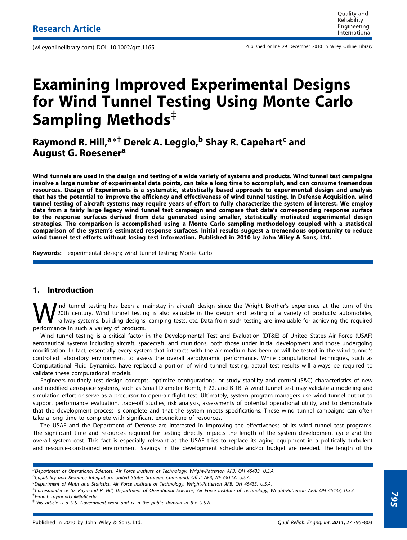# **Examining Improved Experimental Designs for Wind Tunnel Testing Using Monte Carlo Sampling Methods**‡

**Raymond R. Hill,<sup>a\*†</sup> Derek A. Leggio,<sup>b</sup> Shay R. Capehart<sup>c</sup> and August G. Roesener<sup>a</sup>**

**Wind tunnels are used in the design and testing of a wide variety of systems and products. Wind tunnel test campaigns involve a large number of experimental data points, can take a long time to accomplish, and can consume tremendous resources. Design of Experiments is a systematic, statistically based approach to experimental design and analysis that has the potential to improve the efficiency and effectiveness of wind tunnel testing. In Defense Acquisition, wind tunnel testing of aircraft systems may require years of effort to fully characterize the system of interest. We employ data from a fairly large legacy wind tunnel test campaign and compare that data's corresponding response surface to the response surfaces derived from data generated using smaller, statistically motivated experimental design strategies. The comparison is accomplished using a Monte Carlo sampling methodology coupled with a statistical comparison of the system's estimated response surfaces. Initial results suggest a tremendous opportunity to reduce wind tunnel test efforts without losing test information. Published in 2010 by John Wiley & Sons, Ltd.**

**Keywords:** experimental design; wind tunnel testing; Monte Carlo

### **1. Introduction**

ind tunnel testing has been a mainstay in aircraft design since the Wright Brother's experience at the turn of the<br>20th century. Wind tunnel testing is also valuable in the design and testing of a variety of products: auto 20th century. Wind tunnel testing is also valuable in the design and testing of a variety of products: automobiles, performance in such a variety of products.

Wind tunnel testing is a critical factor in the Developmental Test and Evaluation (DT&E) of United States Air Force (USAF) aeronautical systems including aircraft, spacecraft, and munitions, both those under initial development and those undergoing modification. In fact, essentially every system that interacts with the air medium has been or will be tested in the wind tunnel's controlled laboratory environment to assess the overall aerodynamic performance. While computational techniques, such as Computational Fluid Dynamics, have replaced a portion of wind tunnel testing, actual test results will always be required to validate these computational models.

Engineers routinely test design concepts, optimize configurations, or study stability and control (S&C) characteristics of new and modified aerospace systems, such as Small Diameter Bomb, F-22, and B-1B. A wind tunnel test may validate a modeling and simulation effort or serve as a precursor to open-air flight test. Ultimately, system program managers use wind tunnel output to support performance evaluation, trade-off studies, risk analysis, assessments of potential operational utility, and to demonstrate that the development process is complete and that the system meets specifications. These wind tunnel campaigns can often take a long time to complete with significant expenditure of resources.

The USAF and the Department of Defense are interested in improving the effectiveness of its wind tunnel test programs. The significant time and resources required for testing directly impacts the length of the system development cycle and the overall system cost. This fact is especially relevant as the USAF tries to replace its aging equipment in a politically turbulent and resource-constrained environment. Savings in the development schedule and*/*or budget are needed. The length of the

*cDepartment of Math and Statistics, Air Force Institute of Technology, Wright-Patterson AFB, OH 45433, U.S.A.*

∗*Correspondence to: Raymond R. Hill, Department of Operational Sciences, Air Force Institute of Technology, Wright-Patterson AFB, OH 45433, U.S.A.*

†*E-mail: raymond.hill@afit.edu*

*aDepartment of Operational Sciences, Air Force Institute of Technology, Wright-Patterson AFB, OH 45433, U.S.A.*

*bCapability and Resource Integration, United States Strategic Command, Offut AFB, NE 68113, U.S.A.*

<sup>‡</sup>*This article is a U.S. Government work and is in the public domain in the U.S.A.*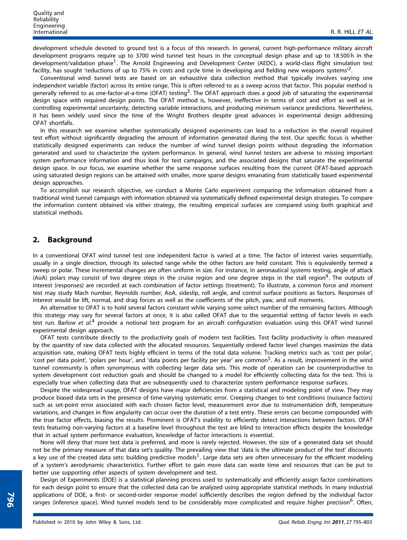development schedule devoted to ground test is a focus of this research. In general, current high-performance military aircraft development programs require up to 3700 wind tunnel test hours in the conceptual design phase and up to 18500 h in the development/validation phase<sup>1</sup>. The Arnold Engineering and Development Center (AEDC), a world-class flight simulation test facility, has sought 'reductions of up to 75% in costs and cycle time in developing and fielding new weapons systems'2.

Conventional wind tunnel tests are based on an exhaustive data collection method that typically involves varying one independent variable (factor) across its entire range. This is often referred to as a sweep across that factor. This popular method is generally referred to as one-factor-at-a-time (OFAT) testing3. The OFAT approach does a good job of saturating the experimental design space with required design points. The OFAT method is, however, ineffective in terms of cost and effort as well as in controlling experimental uncertainty, detecting variable interactions, and producing minimum variance predictions. Nevertheless, it has been widely used since the time of the Wright Brothers despite great advances in experimental design addressing OFAT shortfalls.

In this research we examine whether systematically designed experiments can lead to a reduction in the overall required test effort without significantly degrading the amount of information generated during the test. Our specific focus is whether statistically designed experiments can reduce the number of wind tunnel design points without degrading the information generated and used to characterize the system performance. In general, wind tunnel testers are adverse to missing important system performance information and thus look for test campaigns, and the associated designs that saturate the experimental design space. In our focus, we examine whether the same response surfaces resulting from the current OFAT-based approach using saturated design regions can be attained with smaller, more sparse designs emanating from statistically based experimental design approaches.

To accomplish our research objective, we conduct a Monte Carlo experiment comparing the information obtained from a traditional wind tunnel campaign with information obtained via systematically defined experimental design strategies. To compare the information content obtained via either strategy, the resulting empirical surfaces are compared using both graphical and statistical methods.

#### **2. Background**

In a conventional OFAT wind tunnel test one independent factor is varied at a time. The factor of interest varies sequentially, usually in a single direction, through its selected range while the other factors are held constant. This is equivalently termed a sweep or polar. These incremental changes are often uniform in size. For instance, in aeronautical systems testing, angle of attack (AoA) polars may consist of two degree steps in the cruise region and one degree steps in the stall region<sup>4</sup>. The outputs of interest (responses) are recorded at each combination of factor settings (treatment). To illustrate, a common force and moment test may study Mach number, Reynolds number, AoA, sideslip, roll angle, and control surface positions as factors. Responses of interest would be lift, normal, and drag forces as well as the coefficients of the pitch, yaw, and roll moments.

An alternative to OFAT is to hold several factors constant while varying some select number of the remaining factors. Although this strategy may vary for several factors at once, it is also called OFAT due to the sequential setting of factor levels in each test run. Barlow *et al*.<sup>4</sup> provide a notional test program for an aircraft configuration evaluation using this OFAT wind tunnel experimental design approach.

OFAT tests contribute directly to the productivity goals of modern test facilities. Test facility productivity is often measured by the quantity of raw data collected with the allocated resources. Sequentially ordered factor level changes maximize the data acquisition rate, making OFAT tests highly efficient in terms of the total data volume. Tracking metrics such as 'cost per polar', 'cost per data point', 'polars per hour', and 'data points per facility per year' are common<sup>5</sup>. As a result, improvement in the wind tunnel community is often synonymous with collecting larger data sets. This mode of operation can be counterproductive to system development cost reduction goals and should be changed to a model for efficiently collecting data for the test. This is especially true when collecting data that are subsequently used to characterize system performance response surfaces.

Despite the widespread usage, OFAT designs have major deficiencies from a statistical and modeling point of view. They may produce biased data sets in the presence of time-varying systematic error. Creeping changes to test conditions (nuisance factors) such as set-point error associated with each chosen factor level, measurement error due to instrumentation drift, temperature variations, and changes in flow angularity can occur over the duration of a test entry. These errors can become compounded with the true factor effects, biasing the results. Prominent is OFAT's inability to efficiently detect interactions between factors. OFAT tests featuring non-varying factors at a baseline level throughout the test are blind to interaction effects despite the knowledge that in actual system performance evaluation, knowledge of factor interactions is essential.

None will deny that more test data is preferred, and more is rarely rejected. However, the size of a generated data set should not be the primary measure of that data set's quality. The prevailing view that 'data is the ultimate product of the test' discounts a key use of the created data sets: building predictive models<sup>1</sup>. Large data sets are often unnecessary for the efficient modeling of a system's aerodynamic characteristics. Further effort to gain more data can waste time and resources that can be put to better use supporting other aspects of system development and test.

Design of Experiments (DOE) is a statistical planning process used to systematically and efficiently assign factor combinations for each design point to ensure that the collected data can be analyzed using appropriate statistical methods. In many industrial applications of DOE, a first- or second-order response model sufficiently describes the region defined by the individual factor ranges (inference space). Wind tunnel models tend to be considerably more complicated and require higher precision<sup>6</sup>. Often,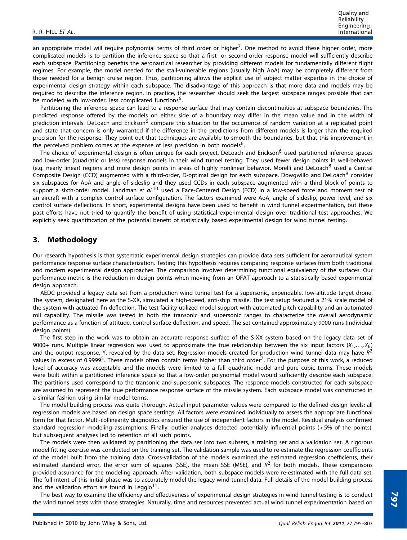an appropriate model will require polynomial terms of third order or higher $7$ . One method to avoid these higher order, more complicated models is to partition the inference space so that a first- or second-order response model will sufficiently describe each subspace. Partitioning benefits the aeronautical researcher by providing different models for fundamentally different flight regimes. For example, the model needed for the stall-vulnerable regions (usually high AoA) may be completely different from those needed for a benign cruise region. Thus, partitioning allows the explicit use of subject matter expertise in the choice of experimental design strategy within each subspace. The disadvantage of this approach is that more data and models may be required to describe the inference region. In practice, the researcher should seek the largest subspace ranges possible that can be modeled with low-order, less complicated functions<sup>6</sup>.

Partitioning the inference space can lead to a response surface that may contain discontinuities at subspace boundaries. The predicted response offered by the models on either side of a boundary may differ in the mean value and in the width of prediction intervals. DeLoach and Erickson<sup>6</sup> compare this situation to the occurrence of random variation at a replicated point and state that concern is only warranted if the difference in the predictions from different models is larger than the required precision for the response. They point out that techniques are available to smooth the boundaries, but that this improvement in the perceived problem comes at the expense of less precision in both models<sup>6</sup>.

The choice of experimental design is often unique for each project. DeLoach and Erickson<sup>6</sup> used partitioned inference spaces and low-order (quadratic or less) response models in their wind tunnel testing. They used fewer design points in well-behaved (e.g. nearly linear) regions and more design points in areas of highly nonlinear behavior. Morelli and DeLoach<sup>8</sup> used a Central Composite Design (CCD) augmented with a third-order, D-optimal design for each subspace. Dowgwillo and DeLoach<sup>9</sup> consider six subspaces for AoA and angle of sideslip and they used CCDs in each subspace augmented with a third block of points to support a sixth-order model. Landman *et al*.<sup>10</sup> used a Face-Centered Design (FCD) in a low-speed force and moment test of an aircraft with a complex control surface configuration. The factors examined were AoA, angle of sideslip, power level, and six control surface deflections. In short, experimental designs have been used to benefit in wind tunnel experimentation, but these past efforts have not tried to quantify the benefit of using statistical experimental design over traditional test approaches. We explicitly seek quantification of the potential benefit of statistically based experimental design for wind tunnel testing.

### **3. Methodology**

Our research hypothesis is that systematic experimental design strategies can provide data sets sufficient for aeronautical system performance response surface characterization. Testing this hypothesis requires comparing response surfaces from both traditional and modern experimental design approaches. The comparison involves determining functional equivalency of the surfaces. Our performance metric is the reduction in design points when moving from an OFAT approach to a statistically based experimental design approach.

AEDC provided a legacy data set from a production wind tunnel test for a supersonic, expendable, low-altitude target drone. The system, designated here as the S-XX, simulated a high-speed, anti-ship missile. The test setup featured a 21% scale model of the system with actuated fin deflection. The test facility utilized model support with automated pitch capability and an automated roll capability. The missile was tested in both the transonic and supersonic ranges to characterize the overall aerodynamic performance as a function of attitude, control surface deflection, and speed. The set contained approximately 9000 runs (individual design points).

The first step in the work was to obtain an accurate response surface of the S-XX system based on the legacy data set of 9000+ runs. Multiple linear regression was used to approximate the true relationship between the six input factors  $(X_1,...,X_6)$ and the output response, Y, revealed by the data set. Regression models created for production wind tunnel data may have *R*<sup>2</sup> values in excess of 0.9999<sup>5</sup>. These models often contain terms higher than third order<sup>7</sup>. For the purpose of this work, a reduced level of accuracy was acceptable and the models were limited to a full quadratic model and pure cubic terms. These models were built within a partitioned inference space so that a low-order polynomial model would sufficiently describe each subspace. The partitions used correspond to the transonic and supersonic subspaces. The response models constructed for each subspace are assumed to represent the true performance response surface of the missile system. Each subspace model was constructed in a similar fashion using similar model terms.

The model building process was quite thorough. Actual input parameter values were compared to the defined design levels; all regression models are based on design space settings. All factors were examined individually to assess the appropriate functional form for that factor. Multi-collinearity diagnostics ensured the use of independent factors in the model. Residual analysis confirmed standard regression modeling assumptions. Finally, outlier analyses detected potentially influential points (*<*5% of the points), but subsequent analyses led to retention of all such points.

The models were then validated by partitioning the data set into two subsets, a training set and a validation set. A rigorous model fitting exercise was conducted on the training set. The validation sample was used to re-estimate the regression coefficients of the model built from the training data. Cross-validation of the models examined the estimated regression coefficients, their estimated standard error, the error sum of squares (SSE), the mean SSE (MSE), and  $R^2$  for both models. These comparisons provided assurance for the modeling approach. After validation, both subspace models were re-estimated with the full data set. The full intent of this initial phase was to accurately model the legacy wind tunnel data. Full details of the model building process and the validation effort are found in Leggio<sup>11</sup>.

The best way to examine the efficiency and effectiveness of experimental design strategies in wind tunnel testing is to conduct the wind tunnel tests with those strategies. Naturally, time and resources prevented actual wind tunnel experimentation based on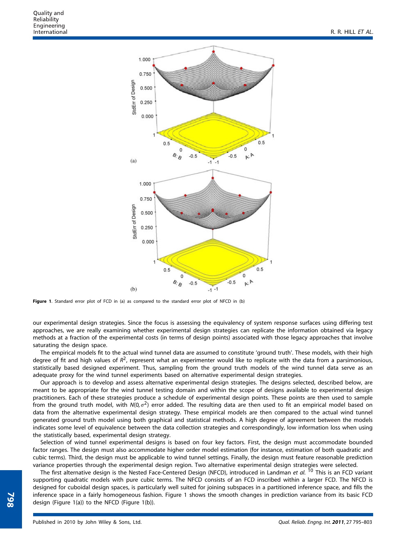

**Figure 1**. Standard error plot of FCD in (a) as compared to the standard error plot of NFCD in (b)

our experimental design strategies. Since the focus is assessing the equivalency of system response surfaces using differing test approaches, we are really examining whether experimental design strategies can replicate the information obtained via legacy methods at a fraction of the experimental costs (in terms of design points) associated with those legacy approaches that involve saturating the design space.

The empirical models fit to the actual wind tunnel data are assumed to constitute 'ground truth'. These models, with their high degree of fit and high values of  $R^2$ , represent what an experimenter would like to replicate with the data from a parsimonious, statistically based designed experiment. Thus, sampling from the ground truth models of the wind tunnel data serve as an adequate proxy for the wind tunnel experiments based on alternative experimental design strategies.

Our approach is to develop and assess alternative experimental design strategies. The designs selected, described below, are meant to be appropriate for the wind tunnel testing domain and within the scope of designs available to experimental design practitioners. Each of these strategies produce a schedule of experimental design points. These points are then used to sample from the ground truth model, with *N*(0, $\sigma^2$ ) error added. The resulting data are then used to fit an empirical model based on data from the alternative experimental design strategy. These empirical models are then compared to the actual wind tunnel generated ground truth model using both graphical and statistical methods. A high degree of agreement between the models indicates some level of equivalence between the data collection strategies and correspondingly, low information loss when using the statistically based, experimental design strategy.

Selection of wind tunnel experimental designs is based on four key factors. First, the design must accommodate bounded factor ranges. The design must also accommodate higher order model estimation (for instance, estimation of both quadratic and cubic terms). Third, the design must be applicable to wind tunnel settings. Finally, the design must feature reasonable prediction variance properties through the experimental design region. Two alternative experimental design strategies were selected.

The first alternative design is the Nested Face-Centered Design (NFCD), introduced in Landman *et al.* <sup>10</sup> This is an FCD variant supporting quadratic models with pure cubic terms. The NFCD consists of an FCD inscribed within a larger FCD. The NFCD is designed for cuboidal design spaces, is particularly well suited for joining subspaces in a partitioned inference space, and fills the inference space in a fairly homogeneous fashion. Figure 1 shows the smooth changes in prediction variance from its basic FCD design (Figure 1(a)) to the NFCD (Figure 1(b)).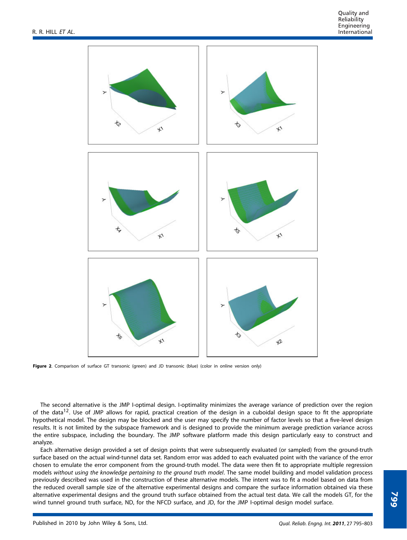

**Figure 2**. Comparison of surface GT transonic (green) and JD transonic (blue) (color in online version only)

The second alternative is the JMP I-optimal design. I-optimality minimizes the average variance of prediction over the region of the data<sup>12</sup>. Use of JMP allows for rapid, practical creation of the design in a cuboidal design space to fit the appropriate hypothetical model. The design may be blocked and the user may specify the number of factor levels so that a five-level design results. It is not limited by the subspace framework and is designed to provide the minimum average prediction variance across the entire subspace, including the boundary. The JMP software platform made this design particularly easy to construct and analyze.

Each alternative design provided a set of design points that were subsequently evaluated (or sampled) from the ground-truth surface based on the actual wind-tunnel data set. Random error was added to each evaluated point with the variance of the error chosen to emulate the error component from the ground-truth model. The data were then fit to appropriate multiple regression models *without using the knowledge pertaining to the ground truth model*. The same model building and model validation process previously described was used in the construction of these alternative models. The intent was to fit a model based on data from the reduced overall sample size of the alternative experimental designs and compare the surface information obtained via these alternative experimental designs and the ground truth surface obtained from the actual test data. We call the models GT, for the wind tunnel ground truth surface, ND, for the NFCD surface, and JD, for the JMP I-optimal design model surface.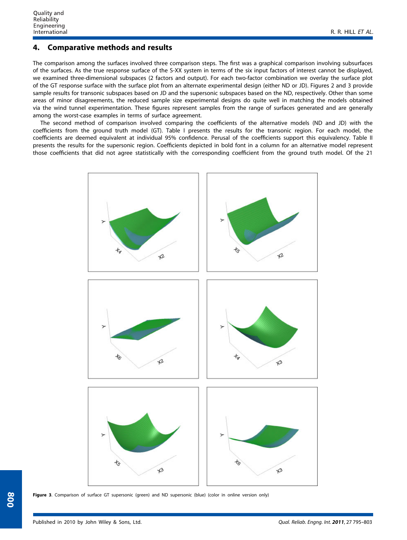### **4. Comparative methods and results**

The comparison among the surfaces involved three comparison steps. The first was a graphical comparison involving subsurfaces of the surfaces. As the true response surface of the S-XX system in terms of the six input factors of interest cannot be displayed, we examined three-dimensional subspaces (2 factors and output). For each two-factor combination we overlay the surface plot of the GT response surface with the surface plot from an alternate experimental design (either ND or JD). Figures 2 and 3 provide sample results for transonic subspaces based on JD and the supersonic subspaces based on the ND, respectively. Other than some areas of minor disagreements, the reduced sample size experimental designs do quite well in matching the models obtained via the wind tunnel experimentation. These figures represent samples from the range of surfaces generated and are generally among the worst-case examples in terms of surface agreement.

The second method of comparison involved comparing the coefficients of the alternative models (ND and JD) with the coefficients from the ground truth model (GT). Table I presents the results for the transonic region. For each model, the coefficients are deemed equivalent at individual 95% confidence. Perusal of the coefficients support this equivalency. Table II presents the results for the supersonic region. Coefficients depicted in bold font in a column for an alternative model represent those coefficients that did not agree statistically with the corresponding coefficient from the ground truth model. Of the 21



**Figure 3**. Comparison of surface GT supersonic (green) and ND supersonic (blue) (color in online version only)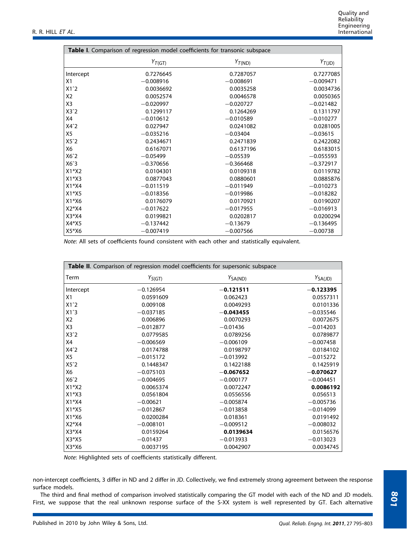| Table I. Comparison of regression model coefficients for transonic subspace |             |             |             |  |  |
|-----------------------------------------------------------------------------|-------------|-------------|-------------|--|--|
|                                                                             | $Y_{T(GT)}$ | $Y_{T(ND)}$ | $Y_{T(JD)}$ |  |  |
| Intercept                                                                   | 0.7276645   | 0.7287057   | 0.7277085   |  |  |
| X <sub>1</sub>                                                              | $-0.008916$ | $-0.008691$ | $-0.009471$ |  |  |
| $X1^2$                                                                      | 0.0036692   | 0.0035258   | 0.0034736   |  |  |
| X2                                                                          | 0.0052574   | 0.0046578   | 0.0050365   |  |  |
| X <sub>3</sub>                                                              | $-0.020997$ | $-0.020727$ | $-0.021482$ |  |  |
| $X3^2$                                                                      | 0.1299117   | 0.1264269   | 0.1311797   |  |  |
| X4                                                                          | $-0.010612$ | $-0.010589$ | $-0.010277$ |  |  |
| $X4^2$                                                                      | 0.027947    | 0.0241082   | 0.0281005   |  |  |
| X <sub>5</sub>                                                              | $-0.035216$ | $-0.03404$  | $-0.03615$  |  |  |
| $X5^2$                                                                      | 0.2434671   | 0.2471839   | 0.2422082   |  |  |
| X6                                                                          | 0.6167071   | 0.6137196   | 0.6183015   |  |  |
| $X6^2$                                                                      | $-0.05499$  | $-0.05539$  | $-0.055593$ |  |  |
| $X6^{\circ}3$                                                               | $-0.370656$ | $-0.366468$ | $-0.372917$ |  |  |
| $X1*X2$                                                                     | 0.0104301   | 0.0109318   | 0.0119782   |  |  |
| $X1*X3$                                                                     | 0.0877043   | 0.0880601   | 0.0885876   |  |  |
| $X1*X4$                                                                     | $-0.011519$ | $-0.011949$ | $-0.010273$ |  |  |
| $X1*X5$                                                                     | $-0.018356$ | $-0.019986$ | $-0.018282$ |  |  |
| $X1*X6$                                                                     | 0.0176079   | 0.0170921   | 0.0190207   |  |  |
| $X2*X4$                                                                     | $-0.017622$ | $-0.017955$ | $-0.016913$ |  |  |
| $X3*X4$                                                                     | 0.0199821   | 0.0202817   | 0.0200294   |  |  |
| $X4*X5$                                                                     | $-0.137442$ | $-0.13679$  | $-0.136495$ |  |  |
| $X5*X6$                                                                     | $-0.007419$ | $-0.007566$ | $-0.00738$  |  |  |

*Note*: All sets of coefficients found consistent with each other and statistically equivalent.

| Table II. Comparison of regression model coefficients for supersonic subspace |             |              |              |  |  |
|-------------------------------------------------------------------------------|-------------|--------------|--------------|--|--|
| Term                                                                          | $Y_{S(GT)}$ | $Y_{SA(ND)}$ | $Y_{SA(JD)}$ |  |  |
| Intercept                                                                     | $-0.126954$ | $-0.121511$  | $-0.123395$  |  |  |
| X1                                                                            | 0.0591609   | 0.062423     | 0.0557311    |  |  |
| $X1^2$                                                                        | 0.009108    | 0.0049293    | 0.0101336    |  |  |
| $X1^3$                                                                        | $-0.037185$ | $-0.043455$  | $-0.035546$  |  |  |
| X <sub>2</sub>                                                                | 0.006896    | 0.0070293    | 0.0072675    |  |  |
| X <sub>3</sub>                                                                | $-0.012877$ | $-0.01436$   | $-0.014203$  |  |  |
| $X3^2$                                                                        | 0.0779585   | 0.0789256    | 0.0789877    |  |  |
| X <sub>4</sub>                                                                | $-0.006569$ | $-0.006109$  | $-0.007458$  |  |  |
| $X4^2$                                                                        | 0.0174788   | 0.0198797    | 0.0184102    |  |  |
| X <sub>5</sub>                                                                | $-0.015172$ | $-0.013992$  | $-0.015272$  |  |  |
| $X5^2$                                                                        | 0.1448347   | 0.1422188    | 0.1425919    |  |  |
| X <sub>6</sub>                                                                | $-0.075103$ | $-0.067652$  | $-0.070627$  |  |  |
| $X6^2$                                                                        | $-0.004695$ | $-0.000177$  | $-0.004451$  |  |  |
| $X1*X2$                                                                       | 0.0065374   | 0.0072247    | 0.0086192    |  |  |
| $X1*X3$                                                                       | 0.0561804   | 0.0556556    | 0.056513     |  |  |
| $X1*X4$                                                                       | $-0.00621$  | $-0.005874$  | $-0.005736$  |  |  |
| $X1*X5$                                                                       | $-0.012867$ | $-0.013858$  | $-0.014099$  |  |  |
| $X1*X6$                                                                       | 0.0200284   | 0.018361     | 0.0191492    |  |  |
| $X2*X4$                                                                       | $-0.008101$ | $-0.009512$  | $-0.008032$  |  |  |
| $X3*X4$                                                                       | 0.0159264   | 0.0139634    | 0.0156576    |  |  |
| $X3*X5$                                                                       | $-0.01437$  | $-0.013933$  | $-0.013023$  |  |  |
| $X3*X6$                                                                       | 0.0037195   | 0.0042907    | 0.0034745    |  |  |

*Note*: Highlighted sets of coefficients statistically different.

non-intercept coefficients, 3 differ in ND and 2 differ in JD. Collectively, we find extremely strong agreement between the response surface models.

The third and final method of comparison involved statistically comparing the GT model with each of the ND and JD models. First, we suppose that the real unknown response surface of the S-XX system is well represented by GT. Each alternative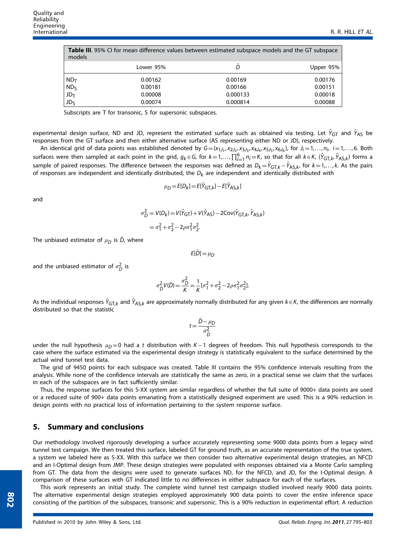| <b>Table III.</b> 95% CI for mean difference values between estimated subspace models and the GT subspace<br>models |           |          |              |  |  |
|---------------------------------------------------------------------------------------------------------------------|-----------|----------|--------------|--|--|
|                                                                                                                     | Lower 95% |          | Upper $95\%$ |  |  |
| ND <sub>T</sub>                                                                                                     | 0.00162   | 0.00169  | 0.00176      |  |  |
| ND <sub>S</sub>                                                                                                     | 0.00181   | 0.00166  | 0.00151      |  |  |
| $JD_T$                                                                                                              | 0.00008   | 0.000133 | 0.00018      |  |  |
| JD <sub>S</sub>                                                                                                     | 0.00074   | 0.000814 | 0.00088      |  |  |

Subscripts are T for transonic, S for supersonic subspaces.

experimental design surface, ND and JD, represent the estimated surface such as obtained via testing. Let Y<sub>GT</sub> and Y<sub>AS</sub> be responses from the GT surface and then either alternative surface (AS representing either ND or JD), respectively.

An identical grid of data points was established denoted by  $G = (x_{1J_1}, x_{2J_2}, x_{3J_3}, x_{4J_4}, x_{5J_5}, x_{6J_6})$ , for  $J_i = 1,..., n_i$ ,  $i = 1,..., 6$ . Both surfaces were then sampled at each point in the grid,  $g_k \in G$ , for  $k = 1,..., \prod_{i=1}^6 n_i = K$ , so that for all  $k \in K$ ,  $(\hat{Y}_{\text{GT},k}, \hat{Y}_{\text{AS},k})$  forms a sample of paired responses. The difference between the responses was defined as  $D_k = Y_{G T, k} - Y_{AS, k}$ , for  $k = 1, \ldots, k$ . As the pairs of responses are independent and identically distributed, the *Dk* are independent and identically distributed with

$$
\mu_D = E[D_k] = E[\hat{Y}_{GT,k}] - E[\hat{Y}_{AS,k}]
$$

and

$$
\sigma_D^2 = V(D_k) = V(\hat{Y}_{GT}) + V(\hat{Y}_{AS}) - 2\text{Cov}(\hat{Y}_{GT,k}, \hat{Y}_{AS,k})
$$

$$
= \sigma_1^2 + \sigma_2^2 - 2\rho\sigma_1^2\sigma_2^2.
$$

The unbiased estimator of  $\mu_D$  is  $\bar{D}$ , where

 $E[\bar{D}] = \mu_D$ 

and the unbiased estimator of  $\sigma_D^2$  is

$$
\sigma_{\bar{D}}^2 V(\bar{D}) = \frac{\sigma_D^2}{K} = \frac{1}{K} [\sigma_1^2 + \sigma_2^2 - 2\rho \sigma_1^2 \sigma_2^2].
$$

As the individual responses Y<sub>GT,k</sub> and Y<sub>AS,k</sub> are approximately normally distributed for any given *k*∈*K*, the differences are normally distributed so that the statistic

$$
t = \frac{\bar{D} - \mu_D}{\sigma_{\bar{D}}^2}
$$

under the null hypothesis *μ*<sub>D</sub> = 0 had a *t* distribution with *K* − 1 degrees of freedom. This null hypothesis corresponds to the case where the surface estimated via the experimental design strategy is statistically equivalent to the surface determined by the actual wind tunnel test data.

The grid of 9450 points for each subspace was created. Table III contains the 95% confidence intervals resulting from the analysis. While none of the confidence intervals are statistically the same as zero, in a practical sense we claim that the surfaces in each of the subspaces are in fact sufficiently similar.

Thus, the response surfaces for this S-XX system are similar regardless of whether the full suite of 9000+ data points are used or a reduced suite of 900+ data points emanating from a statistically designed experiment are used. This is a 90% reduction in design points with no practical loss of information pertaining to the system response surface.

#### **5. Summary and conclusions**

Our methodology involved rigorously developing a surface accurately representing some 9000 data points from a legacy wind tunnel test campaign. We then treated this surface, labeled GT for ground truth, as an accurate representation of the true system, a system we labeled here as S-XX. With this surface we then consider two alternative experimental design strategies, an NFCD and an I-Optimal design from JMP. These design strategies were populated with responses obtained via a Monte Carlo sampling from GT. The data from the designs were used to generate surfaces ND, for the NFCD, and JD, for the I-Optimal design. A comparison of these surfaces with GT indicated little to no differences in either subspace for each of the surfaces.

This work represents an initial study. The complete wind tunnel test campaign studied involved nearly 9000 data points. The alternative experimental design strategies employed approximately 900 data points to cover the entire inference space consisting of the partition of the subspaces, transonic and supersonic. This is a 90% reduction in experimental effort. A reduction